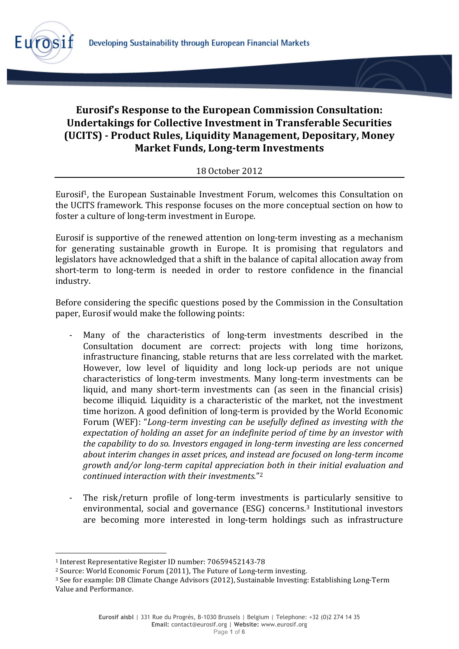

# **Eurosif's Response to the European Commission Consultation: Undertakings for Collective Investment in Transferable Securities (UCITS))A Product)Rules,)Liquidity)Management,)Depositary,)Money) Market Funds, Long-term Investments**

## 18 October 2012

Eurosif<sup>1</sup>, the European Sustainable Investment Forum, welcomes this Consultation on the UCITS framework. This response focuses on the more conceptual section on how to foster a culture of long-term investment in Europe.

Eurosif is supportive of the renewed attention on long-term investing as a mechanism for generating sustainable growth in Europe. It is promising that regulators and legislators have acknowledged that a shift in the balance of capital allocation away from short-term to long-term is needed in order to restore confidence in the financial industry.

Before considering the specific questions posed by the Commission in the Consultation paper, Eurosif would make the following points:

- Many of the characteristics of long-term investments described in the Consultation document are correct: projects with long time horizons, infrastructure financing, stable returns that are less correlated with the market. However, low level of liquidity and long lock-up periods are not unique characteristics of long-term investments. Many long-term investments can be liquid, and many short-term investments can (as seen in the financial crisis) become illiquid. Liquidity is a characteristic of the market, not the investment time horizon. A good definition of long-term is provided by the World Economic Forum (WEF): "Long-term investing can be usefully defined as *investing with the expectation\*of\*holding\*an\*asset for\*an\*indefinite\*period\*of\*time\*by\*an\*investor\*with the\*capability\*to\*do\*so.\*Investors\*engaged\*in\*long%term investing are\*less\*concerned\* about\*interim changes\*in\*asset\*prices,\*and\*instead\*are\*focused\*on long%term\*income\* growth\*and/or\*long%term\*capital appreciation\*both\*in\*their\*initial\*evaluation\*and continued interaction with their investments.*"<sup>2</sup>
- The risk/return profile of long-term investments is particularly sensitive to environmental, social and governance (ESG) concerns.<sup>3</sup> Institutional investors are becoming more interested in long-term holdings such as infrastructure

!!!!!!!!!!!!!!!!!!!!!!!!!!!!!!!!!!!!!!!!!!!!!!!!!!!!!!!

<sup>&</sup>lt;sup>1</sup> Interest Representative Register ID number: 70659452143-78

<sup>&</sup>lt;sup>2</sup> Source: World Economic Forum (2011), The Future of Long-term investing.

 $3$  See for example: DB Climate Change Advisors (2012), Sustainable Investing: Establishing Long-Term Value and Performance.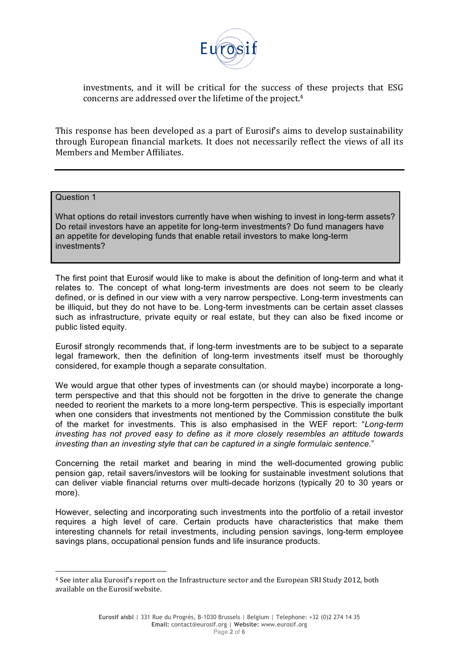

investments, and it will be critical for the success of these projects that ESG concerns are addressed over the lifetime of the project.<sup>4</sup>

This response has been developed as a part of Eurosif's aims to develop sustainability through European financial markets. It does not necessarily reflect the views of all its Members!and!Member Affiliates.

#### Question 1

!!!!!!!!!!!!!!!!!!!!!!!!!!!!!!!!!!!!!!!!!!!!!!!!!!!!!!!

What options do retail investors currently have when wishing to invest in long-term assets? Do retail investors have an appetite for long-term investments? Do fund managers have an appetite for developing funds that enable retail investors to make long-term investments?

The first point that Eurosif would like to make is about the definition of long-term and what it relates to. The concept of what long-term investments are does not seem to be clearly defined, or is defined in our view with a very narrow perspective. Long-term investments can be illiquid, but they do not have to be. Long-term investments can be certain asset classes such as infrastructure, private equity or real estate, but they can also be fixed income or public listed equity.

Eurosif strongly recommends that, if long-term investments are to be subject to a separate legal framework, then the definition of long-term investments itself must be thoroughly considered, for example though a separate consultation.

We would argue that other types of investments can (or should maybe) incorporate a longterm perspective and that this should not be forgotten in the drive to generate the change needed to reorient the markets to a more long-term perspective. This is especially important when one considers that investments not mentioned by the Commission constitute the bulk of the market for investments. This is also emphasised in the WEF report: "*Long-term investing has not proved easy to define as it more closely resembles an attitude towards investing than an investing style that can be captured in a single formulaic sentence.*"

Concerning the retail market and bearing in mind the well-documented growing public pension gap, retail savers/investors will be looking for sustainable investment solutions that can deliver viable financial returns over multi-decade horizons (typically 20 to 30 years or more).

However, selecting and incorporating such investments into the portfolio of a retail investor requires a high level of care. Certain products have characteristics that make them interesting channels for retail investments, including pension savings, long-term employee savings plans, occupational pension funds and life insurance products.

<sup>&</sup>lt;sup>4</sup> See inter alia Eurosif's report on the Infrastructure sector and the European SRI Study 2012, both available on the Eurosif website.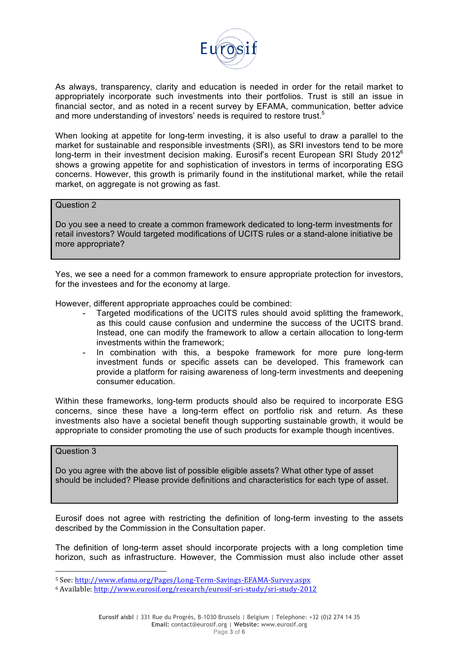

As always, transparency, clarity and education is needed in order for the retail market to appropriately incorporate such investments into their portfolios. Trust is still an issue in financial sector, and as noted in a recent survey by EFAMA, communication, better advice and more understanding of investors' needs is required to restore trust.<sup>5</sup>

When looking at appetite for long-term investing, it is also useful to draw a parallel to the market for sustainable and responsible investments (SRI), as SRI investors tend to be more long-term in their investment decision making. Eurosif's recent European SRI Study 2012<sup>6</sup> shows a growing appetite for and sophistication of investors in terms of incorporating ESG concerns. However, this growth is primarily found in the institutional market, while the retail market, on aggregate is not growing as fast.

#### Question 2

Do you see a need to create a common framework dedicated to long-term investments for retail investors? Would targeted modifications of UCITS rules or a stand-alone initiative be more appropriate?

Yes, we see a need for a common framework to ensure appropriate protection for investors, for the investees and for the economy at large.

However, different appropriate approaches could be combined:

- Targeted modifications of the UCITS rules should avoid splitting the framework, as this could cause confusion and undermine the success of the UCITS brand. Instead, one can modify the framework to allow a certain allocation to long-term investments within the framework;
- In combination with this, a bespoke framework for more pure long-term investment funds or specific assets can be developed. This framework can provide a platform for raising awareness of long-term investments and deepening consumer education.

Within these frameworks, long-term products should also be required to incorporate ESG concerns, since these have a long-term effect on portfolio risk and return. As these investments also have a societal benefit though supporting sustainable growth, it would be appropriate to consider promoting the use of such products for example though incentives.

## Question 3

!!!!!!!!!!!!!!!!!!!!!!!!!!!!!!!!!!!!!!!!!!!!!!!!!!!!!!!

Do you agree with the above list of possible eligible assets? What other type of asset should be included? Please provide definitions and characteristics for each type of asset.

Eurosif does not agree with restricting the definition of long-term investing to the assets described by the Commission in the Consultation paper.

The definition of long-term asset should incorporate projects with a long completion time horizon, such as infrastructure. However, the Commission must also include other asset

<sup>5</sup> See: http://www.efama.org/Pages/Long-Term-Savings-EFAMA-Survey.aspx

<sup>6</sup> Available: http://www.eurosif.org/research/eurosif-sri-study/sri-study-2012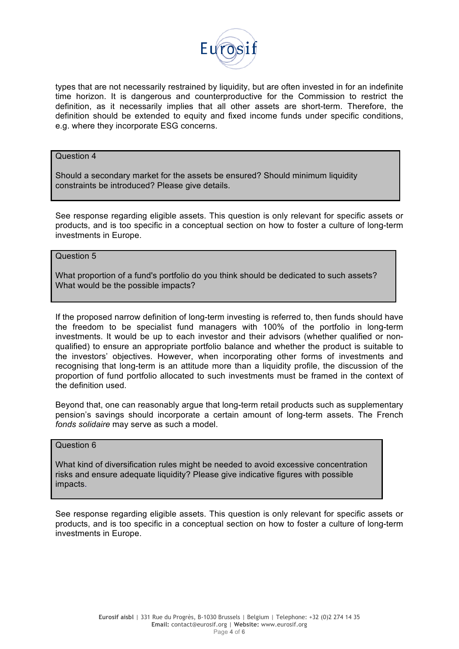

types that are not necessarily restrained by liquidity, but are often invested in for an indefinite time horizon. It is dangerous and counterproductive for the Commission to restrict the definition, as it necessarily implies that all other assets are short-term. Therefore, the definition should be extended to equity and fixed income funds under specific conditions, e.g. where they incorporate ESG concerns.

#### Question 4

Should a secondary market for the assets be ensured? Should minimum liquidity constraints be introduced? Please give details.

See response regarding eligible assets. This question is only relevant for specific assets or products, and is too specific in a conceptual section on how to foster a culture of long-term investments in Europe.

#### Question 5

What proportion of a fund's portfolio do you think should be dedicated to such assets? What would be the possible impacts?

If the proposed narrow definition of long-term investing is referred to, then funds should have the freedom to be specialist fund managers with 100% of the portfolio in long-term investments. It would be up to each investor and their advisors (whether qualified or nonqualified) to ensure an appropriate portfolio balance and whether the product is suitable to the investors' objectives. However, when incorporating other forms of investments and recognising that long-term is an attitude more than a liquidity profile, the discussion of the proportion of fund portfolio allocated to such investments must be framed in the context of the definition used.

Beyond that, one can reasonably argue that long-term retail products such as supplementary pension's savings should incorporate a certain amount of long-term assets. The French *fonds solidaire* may serve as such a model.

## Question 6

What kind of diversification rules might be needed to avoid excessive concentration risks and ensure adequate liquidity? Please give indicative figures with possible impacts.

See response regarding eligible assets. This question is only relevant for specific assets or products, and is too specific in a conceptual section on how to foster a culture of long-term investments in Europe.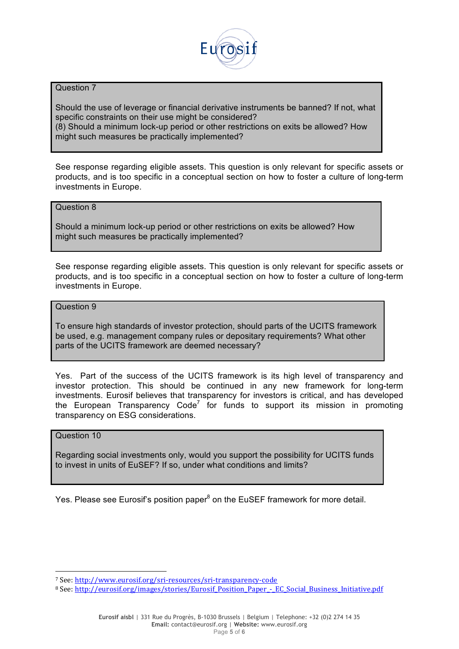

#### Question 7

Should the use of leverage or financial derivative instruments be banned? If not, what specific constraints on their use might be considered? (8) Should a minimum lock-up period or other restrictions on exits be allowed? How might such measures be practically implemented?

See response regarding eligible assets. This question is only relevant for specific assets or products, and is too specific in a conceptual section on how to foster a culture of long-term investments in Europe.

## Question 8

Should a minimum lock-up period or other restrictions on exits be allowed? How might such measures be practically implemented?

See response regarding eligible assets. This question is only relevant for specific assets or products, and is too specific in a conceptual section on how to foster a culture of long-term investments in Europe.

#### Question 9

To ensure high standards of investor protection, should parts of the UCITS framework be used, e.g. management company rules or depositary requirements? What other parts of the UCITS framework are deemed necessary?

Yes. Part of the success of the UCITS framework is its high level of transparency and investor protection. This should be continued in any new framework for long-term investments. Eurosif believes that transparency for investors is critical, and has developed the European Transparency Code<sup>7</sup> for funds to support its mission in promoting transparency on ESG considerations.

## Question 10

Regarding social investments only, would you support the possibility for UCITS funds to invest in units of EuSEF? If so, under what conditions and limits?

Yes. Please see Eurosif's position paper<sup>8</sup> on the EuSEF framework for more detail.

!!!!!!!!!!!!!!!!!!!!!!!!!!!!!!!!!!!!!!!!!!!!!!!!!!!!!!!

<sup>7</sup> See: http://www.eurosif.org/sri-resources/sri-transparency-code

<sup>8</sup> See: http://eurosif.org/images/stories/Eurosif\_Position\_Paper\_-\_EC\_Social\_Business\_Initiative.pdf